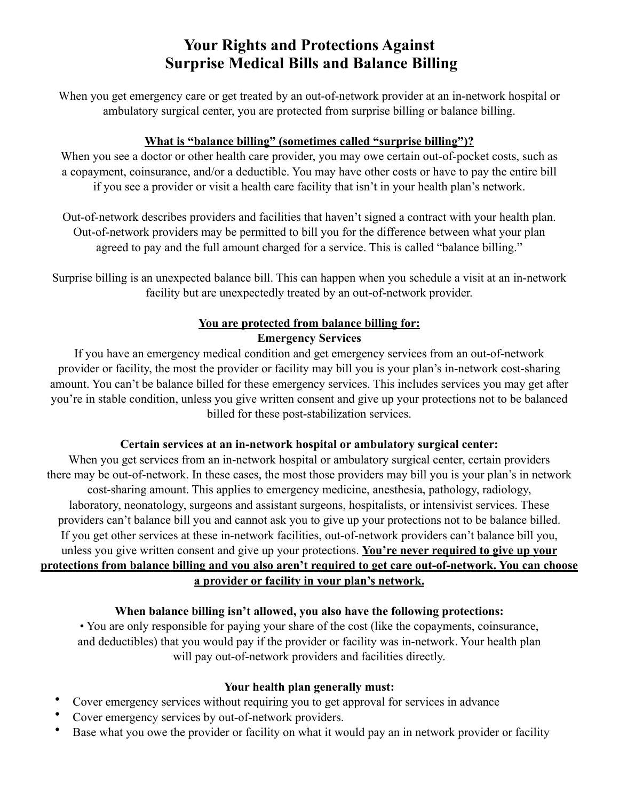# **Your Rights and Protections Against Surprise Medical Bills and Balance Billing**

When you get emergency care or get treated by an out-of-network provider at an in-network hospital or ambulatory surgical center, you are protected from surprise billing or balance billing.

### **What is "balance billing" (sometimes called "surprise billing")?**

When you see a doctor or other health care provider, you may owe certain out-of-pocket costs, such as a copayment, coinsurance, and/or a deductible. You may have other costs or have to pay the entire bill if you see a provider or visit a health care facility that isn't in your health plan's network.

Out-of-network describes providers and facilities that haven't signed a contract with your health plan. Out-of-network providers may be permitted to bill you for the difference between what your plan agreed to pay and the full amount charged for a service. This is called "balance billing."

Surprise billing is an unexpected balance bill. This can happen when you schedule a visit at an in-network facility but are unexpectedly treated by an out-of-network provider.

## **You are protected from balance billing for: Emergency Services**

If you have an emergency medical condition and get emergency services from an out-of-network provider or facility, the most the provider or facility may bill you is your plan's in-network cost-sharing amount. You can't be balance billed for these emergency services. This includes services you may get after you're in stable condition, unless you give written consent and give up your protections not to be balanced billed for these post-stabilization services.

### **Certain services at an in-network hospital or ambulatory surgical center:**

When you get services from an in-network hospital or ambulatory surgical center, certain providers there may be out-of-network. In these cases, the most those providers may bill you is your plan's in network cost-sharing amount. This applies to emergency medicine, anesthesia, pathology, radiology, laboratory, neonatology, surgeons and assistant surgeons, hospitalists, or intensivist services. These providers can't balance bill you and cannot ask you to give up your protections not to be balance billed. If you get other services at these in-network facilities, out-of-network providers can't balance bill you, unless you give written consent and give up your protections. **You're never required to give up your protections from balance billing and you also aren't required to get care out-of-network. You can choose a provider or facility in your plan's network.**

### **When balance billing isn't allowed, you also have the following protections:**

• You are only responsible for paying your share of the cost (like the copayments, coinsurance, and deductibles) that you would pay if the provider or facility was in-network. Your health plan will pay out-of-network providers and facilities directly.

#### **Your health plan generally must:**

- Cover emergency services without requiring you to get approval for services in advance
- Cover emergency services by out-of-network providers.
- Base what you owe the provider or facility on what it would pay an in network provider or facility